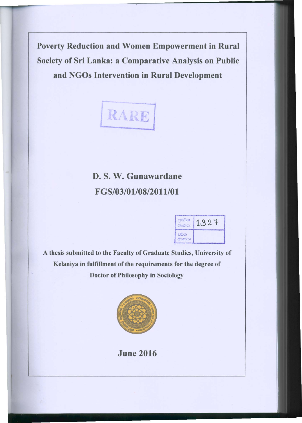Poverty Reduction and Women Empowerment in Rural Society of Sri Lanka: a Comparative Analysis on Public and NGOs Intervention in Rural Development



## D. S. W. Gunawardane FGS/03/01/08/2011/01

| asse<br>Crothes:                                     |  |
|------------------------------------------------------|--|
| <b>El</b> Öca<br>$C_1^{\text{F}} \circ \text{CDC}$ : |  |

A thesis submitted to the Faculty of Graduate Studies, University of Kelaniya in fulfillment of the requirements for the degree of Doctor of Philosophy in Sociology



June 2016